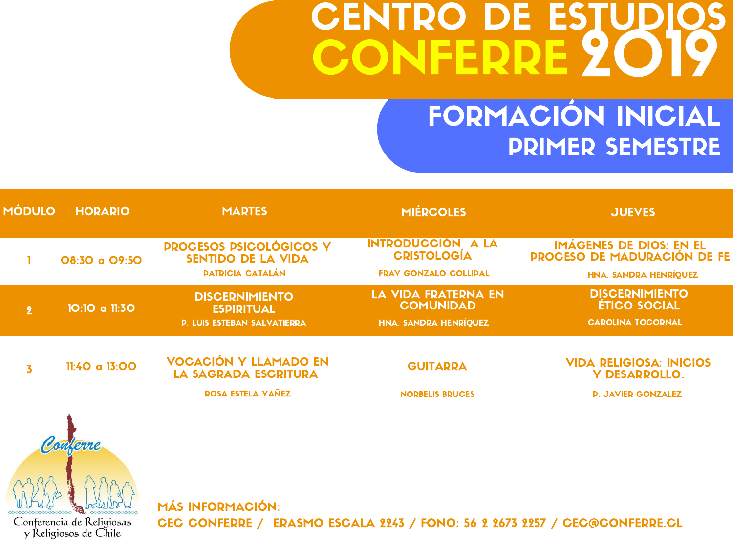### **CENTRO DE ESTUD** CONFERRE 9

#### FORMACIÓN INICIAL PRIMER SEMESTRE

| MÓDULO                                                                                              | <b>HORARIO</b>            | <b>MARTES</b>                                                                    | <b>MIÉRCOLES</b>                                                 | <b>JUEVES</b>                                                            |  |  |
|-----------------------------------------------------------------------------------------------------|---------------------------|----------------------------------------------------------------------------------|------------------------------------------------------------------|--------------------------------------------------------------------------|--|--|
|                                                                                                     | 08:30 a 09:50             | <b>PROCESOS PSICOLÓGICOS Y</b><br><b>SENTIDO DE LA VIDA</b>                      | INTRODUCCIÓN A LA<br><b>CRISTOLOGÍA</b>                          | <b>IMÁGENES DE DIOS: EN EL</b><br><b>PROCESO DE MADURACIÓN DE FE</b>     |  |  |
|                                                                                                     |                           | <b>PATRICIA CATALÁN</b>                                                          | <b>FRAY GONZALO COLLIPAL</b>                                     | HNA. SANDRA HENRÍQUEZ                                                    |  |  |
| 2 <sup>2</sup>                                                                                      | 10:10 a 11:30             | <b>DISCERNIMIENTO</b><br><b>ESPIRITUAL</b><br><b>P. LUIS ESTEBAN SALVATIERRA</b> | LA VIDA FRATERNA EN<br><b>COMUNIDAD</b><br>HNA. SANDRA HENRÍQUEZ | <b>DISCERNIMIENTO</b><br><b>ÉTICO SOCIAL</b><br><b>CAROLINA TOCORNAL</b> |  |  |
| $\overline{\mathbf{3}}$                                                                             | 11:40 a 13:00             | <b>VOCACIÓN Y LLAMADO EN</b><br><b>LA SAGRADA ESCRITURA</b>                      | <b>GUITARRA</b>                                                  | <b>VIDA RELIGIOSA: INICIOS</b><br><b>Y DESARROLLO.</b>                   |  |  |
|                                                                                                     |                           | <b>ROSA ESTELA YAÑEZ</b>                                                         | <b>NORBELIS BRUCES</b>                                           | <b>P. JAVIER GONZALEZ</b>                                                |  |  |
|                                                                                                     | Conferencia de Religiosas | <b>MÁS INFORMACIÓN:</b>                                                          |                                                                  |                                                                          |  |  |
| CEC CONFERRE / ERASMO ESCALA 2243 / FONO: 56 2 2673 2257 / CEC@CONFERRE.CL<br>y Religiosos de Chile |                           |                                                                                  |                                                                  |                                                                          |  |  |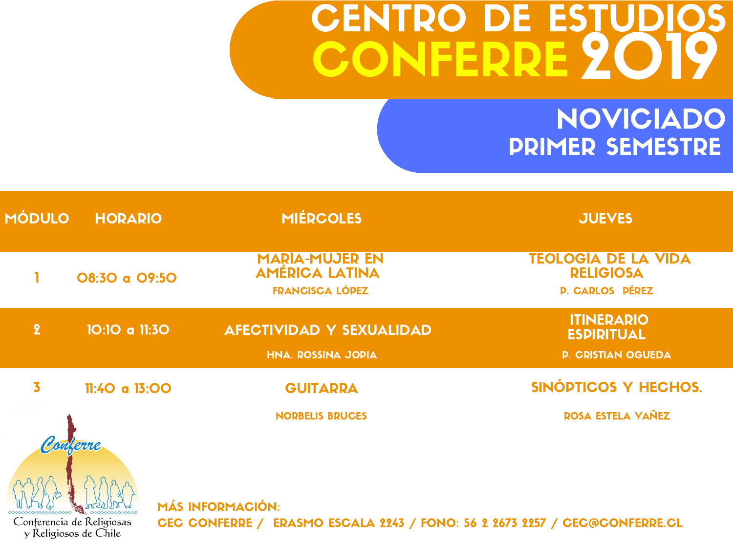# CENTRO DE ESTUDIOS CONFERRE 2019

#### NOVICIADO PRIMER SEMESTRE

| <b>MÓDULO</b>                                                                                                                                                           | <b>HORARIO</b> | <b>MIÉRCOLES</b>                                                         | <b>JUEVES</b>                                                            |  |  |
|-------------------------------------------------------------------------------------------------------------------------------------------------------------------------|----------------|--------------------------------------------------------------------------|--------------------------------------------------------------------------|--|--|
|                                                                                                                                                                         | O8:30 a O9:50  | <b>MARIA-MUJER EN</b><br><b>AMÉRICA LATINA</b><br><b>FRANCISCA LÓPEZ</b> | <b>TEOLOGÍA DE LA VIDA</b><br><b>RELIGIOSA</b><br><b>P. CARLOS PÉREZ</b> |  |  |
| $\overline{2}$                                                                                                                                                          | 10:10 a 11:30  | <b>AFECTIVIDAD Y SEXUALIDAD</b><br><b>HNA. ROSSINA JOPIA</b>             | <b>ITINERARIO</b><br><b>ESPIRITUAL</b><br><b>P. CRISTIAN OGUEDA</b>      |  |  |
| $\overline{\mathbf{3}}$                                                                                                                                                 | 11:40 a 13:00  | <b>GUITARRA</b><br><b>NORBELIS BRUCES</b>                                | SINÓPTICOS Y HECHOS.<br>ROSA ESTELA YAÑEZ                                |  |  |
| Conferre<br><b>MÁS INFORMACIÓN:</b><br>Conferencia de Religiosas<br>CEC CONFERRE / ERASMO ESCALA 2243 / FONO: 56 2 2673 2257 / CEC@CONFERRE.CL<br>y Religiosos de Chile |                |                                                                          |                                                                          |  |  |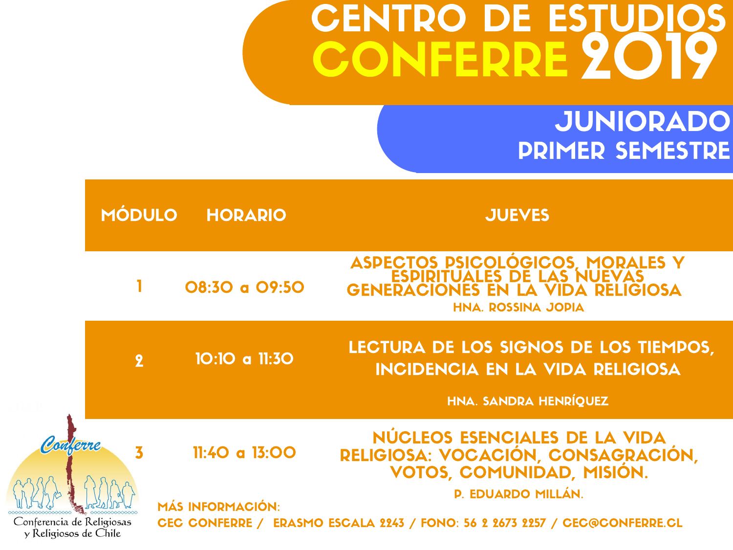# CENTRO DE ESTUDIOS CONFERRE 2019

#### JUNIORADO PRIMER SEMESTRE

|                                                   | <b>MÓDULO</b>  | <b>HORARIO</b>          | <b>JUEVES</b>                                                                                                                    |
|---------------------------------------------------|----------------|-------------------------|----------------------------------------------------------------------------------------------------------------------------------|
|                                                   |                | O8:30 a O9:50           | ASPECTOS PSICOLÓGICOS, MORALES Y<br>ESPIRITUALES DE LAS NUEVAS<br>GENERACIONES EN LA VIDA RELIGIOSA<br><b>HNA. ROSSINA JOPIA</b> |
|                                                   | $\overline{2}$ | 10:10 a 11:30           | LECTURA DE LOS SIGNOS DE LOS TIEMPOS,<br><b>INCIDENCIA EN LA VIDA RELIGIOSA</b><br>HNA. SANDRA HENRÍQUEZ                         |
| Conferre                                          | 3              | 11:40 a 13:00           | NÚCLEOS ESENCIALES DE LA VIDA<br>RELIGIOSA: VOCACIÓN, CONSAGRACIÓN,<br>VOTOS, COMUNIDAD, MISIÓN.                                 |
| onferencia de Religiosas<br>y Religiosos de Chile |                | <b>MÁS INFORMACIÓN:</b> | <b>P. EDUARDO MILLÁN.</b><br>CEC CONFERRE / ERASMO ESCALA 2243 / FONO: 56 2 2673 2257 / CEC@CONFERRE.CL                          |

 $Co$